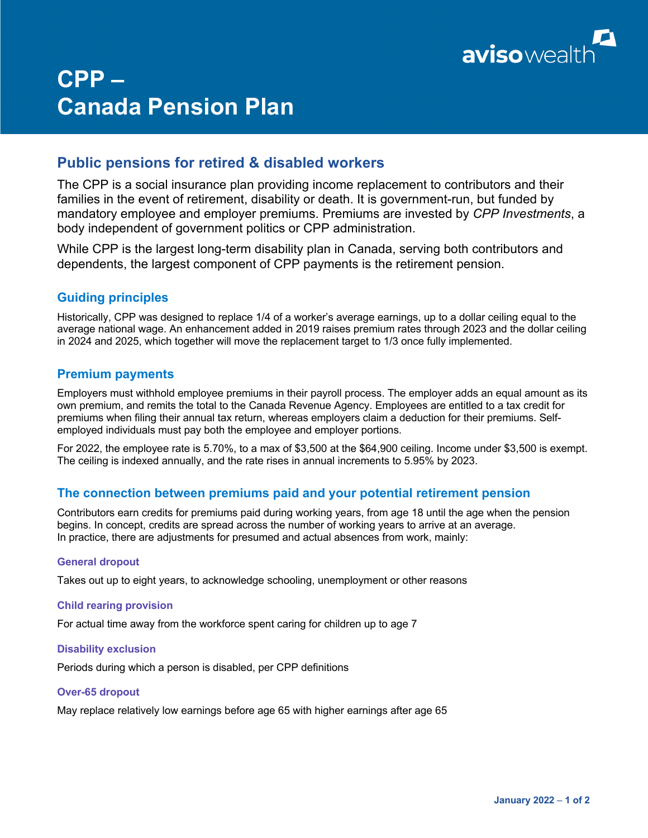

# **CPP – Canada Pension Plan**

## **Public pensions for retired & disabled workers**

The CPP is a social insurance plan providing income replacement to contributors and their families in the event of retirement, disability or death. It is government-run, but funded by mandatory employee and employer premiums. Premiums are invested by *CPP Investments*, a body independent of government politics or CPP administration.

While CPP is the largest long-term disability plan in Canada, serving both contributors and dependents, the largest component of CPP payments is the retirement pension.

## **Guiding principles**

Historically, CPP was designed to replace 1/4 of a worker's average earnings, up to a dollar ceiling equal to the average national wage. An enhancement added in 2019 raises premium rates through 2023 and the dollar ceiling in 2024 and 2025, which together will move the replacement target to 1/3 once fully implemented.

## **Premium payments**

Employers must withhold employee premiums in their payroll process. The employer adds an equal amount as its own premium, and remits the total to the Canada Revenue Agency. Employees are entitled to a tax credit for premiums when filing their annual tax return, whereas employers claim a deduction for their premiums. Selfemployed individuals must pay both the employee and employer portions.

For 2022, the employee rate is 5.70%, to a max of \$3,500 at the \$64,900 ceiling. Income under \$3,500 is exempt. The ceiling is indexed annually, and the rate rises in annual increments to 5.95% by 2023.

## **The connection between premiums paid and your potential retirement pension**

Contributors earn credits for premiums paid during working years, from age 18 until the age when the pension begins. In concept, credits are spread across the number of working years to arrive at an average. In practice, there are adjustments for presumed and actual absences from work, mainly:

## **General dropout**

Takes out up to eight years, to acknowledge schooling, unemployment or other reasons

## **Child rearing provision**

For actual time away from the workforce spent caring for children up to age 7

## **Disability exclusion**

Periods during which a person is disabled, per CPP definitions

## **Over-65 dropout**

May replace relatively low earnings before age 65 with higher earnings after age 65